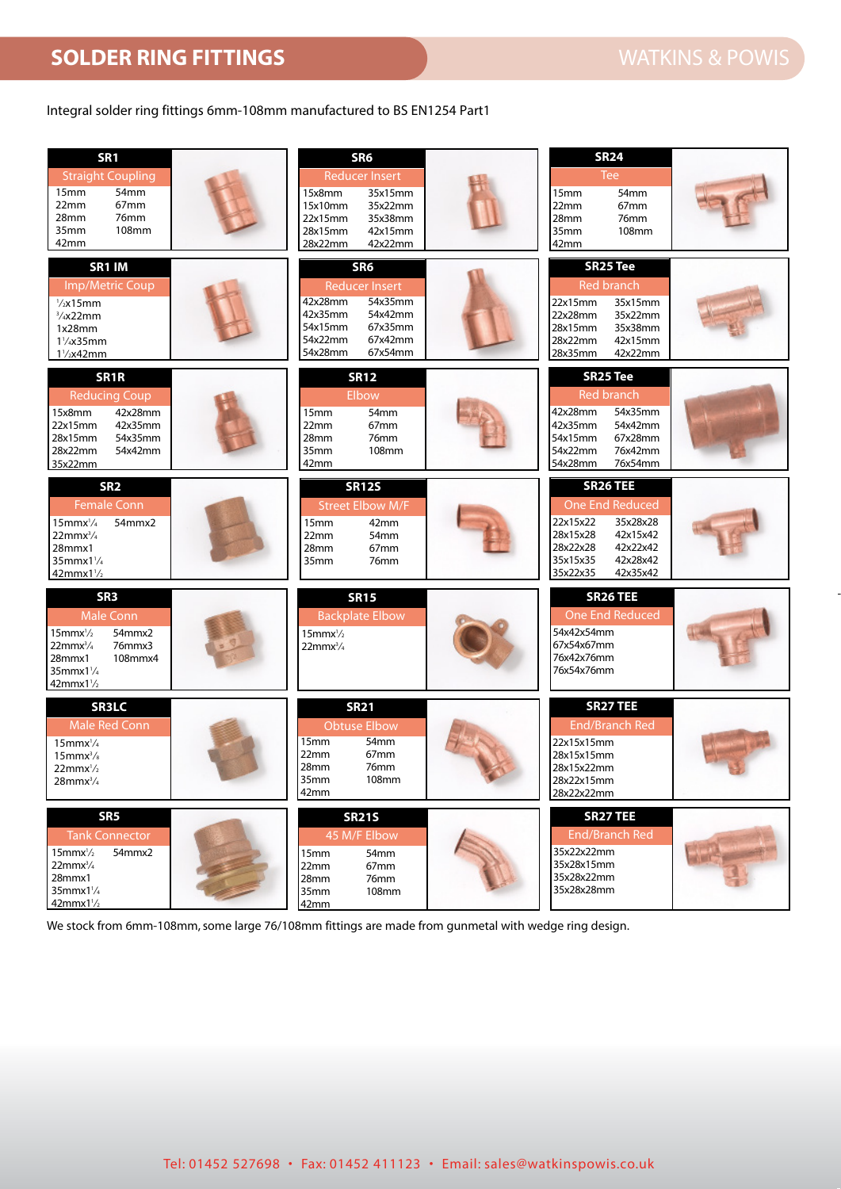## WATKINS & POWIS **SOLDER RING FITTINGS SOLDER RING FITTINGS** WATKINS & POWIS

## Integral solder ring fittings 6mm-108mm manufactured to BS EN1254 Part1

| SR <sub>1</sub><br><b>Straight Coupling</b><br>15 <sub>mm</sub><br>54mm<br>22mm<br>67 <sub>mm</sub><br>28mm<br>76mm<br><b>108mm</b><br>35 <sub>mm</sub><br>42mm             | SR <sub>6</sub><br><b>Reducer Insert</b><br>35x15mm<br>15x8mm<br>15x10mm<br>35x22mm<br>35x38mm<br>22x15mm<br>42x15mm<br>28x15mm<br>42x22mm<br>28x22mm  | <b>SR24</b><br>Tee<br>54mm<br>15 <sub>mm</sub><br>67mm<br>22mm<br>28mm<br>76mm<br>35mm<br>108mm<br>42mm                                                    |
|-----------------------------------------------------------------------------------------------------------------------------------------------------------------------------|--------------------------------------------------------------------------------------------------------------------------------------------------------|------------------------------------------------------------------------------------------------------------------------------------------------------------|
| SR1 IM<br>Imp/Metric Coup<br>$\frac{1}{2}$ x15mm<br>3/4x22mm<br>1x28mm<br>$1\frac{1}{4}x35$ mm<br>$1\frac{1}{2}x42mm$                                                       | SR <sub>6</sub><br><b>Reducer Insert</b><br>42x28mm<br>54x35mm<br>42x35mm<br>54x42mm<br>67x35mm<br>54x15mm<br>67x42mm<br>54x22mm<br>54x28mm<br>67x54mm | <b>SR25 Tee</b><br><b>Red branch</b><br>35x15mm<br>22x15mm<br>22x28mm<br>35x22mm<br>28x15mm<br>35x38mm<br>28x22mm<br>42x15mm<br>28x35mm<br>42x22mm         |
| SR <sub>1</sub> R<br><b>Reducing Coup</b><br>15x8mm<br>42x28mm<br>22x15mm<br>42x35mm<br>28x15mm<br>54x35mm<br>28x22mm<br>54x42mm<br>35x22mm                                 | <b>SR12</b><br><b>Elbow</b><br>54mm<br>15mm<br>67 <sub>mm</sub><br>22mm<br>28mm<br>76mm<br>108mm<br>35mm<br>42mm                                       | <b>SR25 Tee</b><br><b>Red branch</b><br>42x28mm<br>54x35mm<br>54x42mm<br>42x35mm<br>54x15mm<br>67x28mm<br>54x22mm<br>76x42mm<br>54x28mm<br>76x54mm         |
| SR <sub>2</sub><br><b>Female Conn</b><br>$15$ mmx $\frac{1}{4}$<br>54mmx2<br>$22mmx^3/4$<br>28mmx1<br>$35$ mmx $1\frac{1}{4}$<br>$42mmx1\frac{1}{2}$                        | <b>SR12S</b><br><b>Street Elbow M/F</b><br>42mm<br>15 <sub>mm</sub><br>54mm<br>22mm<br>28mm<br>67 <sub>mm</sub><br>35mm<br>76mm                        | <b>SR26 TEE</b><br>One End Reduced<br>22x15x22<br>35x28x28<br>42x15x42<br>28x15x28<br>28x22x28<br>42x22x42<br>35x15x35<br>42x28x42<br>35x22x35<br>42x35x42 |
| SR <sub>3</sub><br><b>Male Conn</b><br>54mmx2<br>$15$ mmx $\frac{1}{2}$<br>76mmx3<br>$22$ mm $x^3/4$<br>108mmx4<br>28mmx1<br>$35$ mmx $1\frac{1}{4}$<br>$42mmx1\frac{1}{2}$ | <b>SR15</b><br><b>Backplate Elbow</b><br>$15$ mmx $\frac{1}{2}$<br>$22$ mmx $^{3}/_{4}$                                                                | <b>SR26 TEE</b><br><b>One End Reduced</b><br>54x42x54mm<br>67x54x67mm<br>76x42x76mm<br>76x54x76mm                                                          |
| <b>SR3LC</b><br>Male Red Conn<br>$15$ mmx $\frac{1}{4}$<br>$15$ mm $x^3/s$<br>$22mmx^1/2$<br>$28$ mmx $\frac{3}{4}$                                                         | <b>SR21</b><br><b>Obtuse Elbow</b><br>15mm<br>54mm<br>67mm<br>22mm<br>28mm<br>76mm<br>35mm<br>108mm<br>42mm                                            | <b>SR27 TEE</b><br><b>End/Branch Red</b><br>22x15x15mm<br>28x15x15mm<br>28x15x22mm<br>28x22x15mm<br>28x22x22mm                                             |
| SR <sub>5</sub><br><b>Tank Connector</b><br>54mmx2<br>$15$ mmx $\frac{1}{2}$<br>$22$ mmx $\frac{3}{4}$<br>28mmx1<br>$35$ mmx $1\frac{1}{4}$<br>$42mmx1\frac{1}{2}$          | <b>SR21S</b><br>45 M/F Elbow<br>54mm<br>15mm<br>67mm<br>22mm<br>76mm<br>28mm<br>108mm<br>35mm<br>42mm                                                  | <b>SR27 TEE</b><br><b>End/Branch Red</b><br>35x22x22mm<br>35x28x15mm<br>35x28x22mm<br>35x28x28mm                                                           |

We stock from 6mm-108mm, some large 76/108mm fittings are made from gunmetal with wedge ring design.